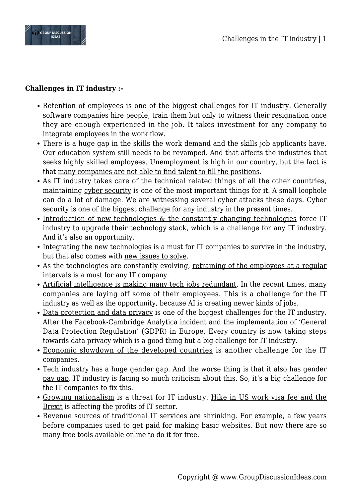

## **Challenges in IT industry :-**

- Retention of employees is one of the biggest challenges for IT industry. Generally software companies hire people, train them but only to witness their resignation once they are enough experienced in the job. It takes investment for any company to integrate employees in the work flow.
- There is a huge gap in the skills the work demand and the skills job applicants have. Our education system still needs to be revamped. And that affects the industries that seeks highly skilled employees. Unemployment is high in our country, but the fact is that many companies are not able to find talent to fill the positions.
- As IT industry takes care of the technical related things of all the other countries, maintaining cyber security is one of the most important things for it. A small loophole can do a lot of damage. We are witnessing several cyber attacks these days. Cyber security is one of the biggest challenge for any industry in the present times.
- Introduction of new technologies  $\&$  the constantly changing technologies force IT industry to upgrade their technology stack, which is a challenge for any IT industry. And it's also an opportunity.
- Integrating the new technologies is a must for IT companies to survive in the industry, but that also comes with new issues to solve.
- As the technologies are constantly evolving, retraining of the employees at a regular intervals is a must for any IT company.
- Artificial intelligence is making many tech jobs redundant. In the recent times, many companies are laying off some of their employees. This is a challenge for the IT industry as well as the opportunity, because AI is creating newer kinds of jobs.
- Data protection and data privacy is one of the biggest challenges for the IT industry. After the Facebook-Cambridge Analytica incident and the implementation of 'General Data Protection Regulation' (GDPR) in Europe, Every country is now taking steps towards data privacy which is a good thing but a big challenge for IT industry.
- Economic slowdown of the developed countries is another challenge for the IT companies.
- Tech industry has a huge gender gap. And the worse thing is that it also has gender pay gap. IT industry is facing so much criticism about this. So, it's a big challenge for the IT companies to fix this.
- Growing nationalism is a threat for IT industry. Hike in US work visa fee and the Brexit is affecting the profits of IT sector.
- Revenue sources of traditional IT services are shrinking. For example, a few years before companies used to get paid for making basic websites. But now there are so many free tools available online to do it for free.